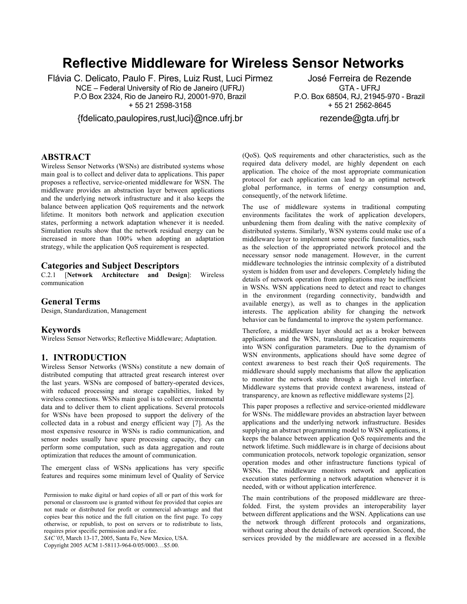# **Reflective Middleware for Wireless Sensor Networks**

Flávia C. Delicato, Paulo F. Pires, Luiz Rust, Luci Pirmez NCE – Federal University of Rio de Janeiro (UFRJ) P.O Box 2324, Rio de Janeiro RJ, 20001-970, Brazil + 55 21 2598-3158

{fdelicato,paulopires,rust,luci}@nce.ufrj.br

José Ferreira de Rezende GTA - UFRJ P.O. Box 68504, RJ, 21945-970 - Brazil + 55 21 2562-8645 rezende@gta.ufrj.br

# **ABSTRACT**

Wireless Sensor Networks (WSNs) are distributed systems whose main goal is to collect and deliver data to applications. This paper proposes a reflective, service-oriented middleware for WSN. The middleware provides an abstraction layer between applications and the underlying network infrastructure and it also keeps the balance between application QoS requirements and the network lifetime. It monitors both network and application execution states, performing a network adaptation whenever it is needed. Simulation results show that the network residual energy can be increased in more than 100% when adopting an adaptation strategy, while the application QoS requirement is respected.

#### **Categories and Subject Descriptors**

C.2.1 [**Network Architecture and Design**]: Wireless communication

#### **General Terms**

Design, Standardization, Management

#### **Keywords**

Wireless Sensor Networks; Reflective Middleware; Adaptation.

#### **1. INTRODUCTION**

Wireless Sensor Networks (WSNs) constitute a new domain of distributed computing that attracted great research interest over the last years. WSNs are composed of battery-operated devices, with reduced processing and storage capabilities, linked by wireless connections. WSNs main goal is to collect environmental data and to deliver them to client applications. Several protocols for WSNs have been proposed to support the delivery of the collected data in a robust and energy efficient way [7]. As the most expensive resource in WSNs is radio communication, and sensor nodes usually have spare processing capacity, they can perform some computation, such as data aggregation and route optimization that reduces the amount of communication.

The emergent class of WSNs applications has very specific features and requires some minimum level of Quality of Service

Permission to make digital or hard copies of all or part of this work for personal or classroom use is granted without fee provided that copies are not made or distributed for profit or commercial advantage and that copies bear this notice and the full citation on the first page. To copy otherwise, or republish, to post on servers or to redistribute to lists, requires prior specific permission and/or a fee.

*SAC'05*, March 13-17, 2005, Santa Fe, New Mexico, USA.

Copyright 2005 ACM 1-58113-964-0/05/0003…\$5.00.

(QoS). QoS requirements and other characteristics, such as the required data delivery model, are highly dependent on each application. The choice of the most appropriate communication protocol for each application can lead to an optimal network global performance, in terms of energy consumption and, consequently, of the network lifetime.

The use of middleware systems in traditional computing environments facilitates the work of application developers, unburdening them from dealing with the native complexity of distributed systems. Similarly, WSN systems could make use of a middleware layer to implement some specific funcionalities, such as the selection of the appropriated network protocol and the necessary sensor node management. However, in the current middleware technologies the intrinsic complexity of a distributed system is hidden from user and developers. Completely hiding the details of network operation from applications may be inefficient in WSNs. WSN applications need to detect and react to changes in the environment (regarding connectivity, bandwidth and available energy), as well as to changes in the application interests. The application ability for changing the network behavior can be fundamental to improve the system performance.

Therefore, a middleware layer should act as a broker between applications and the WSN, translating application requirements into WSN configuration parameters. Due to the dynamism of WSN environments, applications should have some degree of context awareness to best reach their QoS requirements. The middleware should supply mechanisms that allow the application to monitor the network state through a high level interface. Middleware systems that provide context awareness, instead of transparency, are known as reflective middleware systems [2].

This paper proposes a reflective and service-oriented middleware for WSNs. The middleware provides an abstraction layer between applications and the underlying network infrastructure. Besides supplying an abstract programming model to WSN applications, it keeps the balance between application QoS requirements and the network lifetime. Such middleware is in charge of decisions about communication protocols, network topologic organization, sensor operation modes and other infrastructure functions typical of WSNs. The middleware monitors network and application execution states performing a network adaptation whenever it is needed, with or without application interference.

The main contributions of the proposed middleware are threefolded. First, the system provides an interoperability layer between different applications and the WSN. Applications can use the network through different protocols and organizations, without caring about the details of network operation. Second, the services provided by the middleware are accessed in a flexible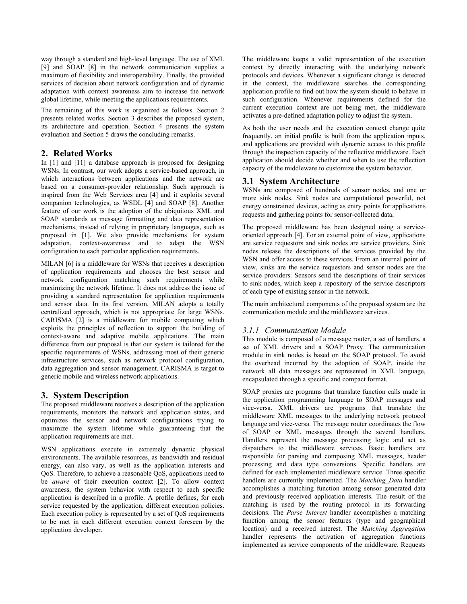way through a standard and high-level language. The use of XML [9] and SOAP [8] in the network communication supplies a maximum of flexibility and interoperability. Finally, the provided services of decision about network configuration and of dynamic adaptation with context awareness aim to increase the network global lifetime, while meeting the applications requirements.

The remaining of this work is organized as follows. Section 2 presents related works. Section 3 describes the proposed system, its architecture and operation. Section 4 presents the system evaluation and Section 5 draws the concluding remarks.

# **2. Related Works**

In [1] and [11] a database approach is proposed for designing WSNs. In contrast, our work adopts a service-based approach, in which interactions between applications and the network are based on a consumer-provider relationship. Such approach is inspired from the Web Services area [4] and it exploits several companion technologies, as WSDL [4] and SOAP [8]. Another feature of our work is the adoption of the ubiquitous XML and SOAP standards as message formatting and data representation mechanisms, instead of relying in proprietary languages, such as proposed in [1]. We also provide mechanisms for system adaptation, context-awareness and to adapt the WSN configuration to each particular application requirements.

MILAN [6] is a middleware for WSNs that receives a description of application requirements and chooses the best sensor and network configuration matching such requirements while maximizing the network lifetime. It does not address the issue of providing a standard representation for application requirements and sensor data. In its first version, MILAN adopts a totally centralized approach, which is not appropriate for large WSNs. CARISMA [2] is a middleware for mobile computing which exploits the principles of reflection to support the building of context-aware and adaptive mobile applications. The main difference from our proposal is that our system is tailored for the specific requirements of WSNs, addressing most of their generic infrastructure services, such as network protocol configuration, data aggregation and sensor management. CARISMA is target to generic mobile and wireless network applications.

# **3. System Description**

The proposed middleware receives a description of the application requirements, monitors the network and application states, and optimizes the sensor and network configurations trying to maximize the system lifetime while guaranteeing that the application requirements are met.

WSN applications execute in extremely dynamic physical environments. The available resources, as bandwidth and residual energy, can also vary, as well as the application interests and QoS. Therefore, to achieve a reasonable QoS, applications need to be *aware* of their execution context [2]. To allow context awareness, the system behavior with respect to each specific application is described in a profile. A profile defines, for each service requested by the application, different execution policies. Each execution policy is represented by a set of QoS requirements to be met in each different execution context foreseen by the application developer.

The middleware keeps a valid representation of the execution context by directly interacting with the underlying network protocols and devices. Whenever a significant change is detected in the context, the middleware searches the corresponding application profile to find out how the system should to behave in such configuration. Whenever requirements defined for the current execution context are not being met, the middleware activates a pre-defined adaptation policy to adjust the system.

As both the user needs and the execution context change quite frequently, an initial profile is built from the application inputs, and applications are provided with dynamic access to this profile through the inspection capacity of the reflective middleware. Each application should decide whether and when to use the reflection capacity of the middleware to customize the system behavior.

# **3.1 System Architecture**

WSNs are composed of hundreds of sensor nodes, and one or more sink nodes. Sink nodes are computational powerful, not energy constrained devices, acting as entry points for applications requests and gathering points for sensor-collected data**.** 

The proposed middleware has been designed using a serviceoriented approach [4]. For an external point of view, applications are service requestors and sink nodes are service providers. Sink nodes release the descriptions of the services provided by the WSN and offer access to these services. From an internal point of view, sinks are the service requestors and sensor nodes are the service providers. Sensors send the descriptions of their services to sink nodes, which keep a repository of the service descriptors of each type of existing sensor in the network.

The main architectural components of the proposed system are the communication module and the middleware services.

# *3.1.1 Communication Module*

This module is composed of a message router, a set of handlers, a set of XML drivers and a SOAP Proxy. The communication module in sink nodes is based on the SOAP protocol. To avoid the overhead incurred by the adoption of SOAP, inside the network all data messages are represented in XML language, encapsulated through a specific and compact format.

SOAP proxies are programs that translate function calls made in the application programming language to SOAP messages and vice-versa. XML drivers are programs that translate the middleware XML messages to the underlying network protocol language and vice-versa. The message router coordinates the flow of SOAP or XML messages through the several handlers. Handlers represent the message processing logic and act as dispatchers to the middleware services. Basic handlers are responsible for parsing and composing XML messages, header processing and data type conversions. Specific handlers are defined for each implemented middleware service. Three specific handlers are currently implemented. The *Matching\_Data* handler accomplishes a matching function among sensor generated data and previously received application interests. The result of the matching is used by the routing protocol in its forwarding decisions. The *Parse\_Interest* handler accomplishes a matching function among the sensor features (type and geographical location) and a received interest. The *Matching\_Aggregation* handler represents the activation of aggregation functions implemented as service components of the middleware. Requests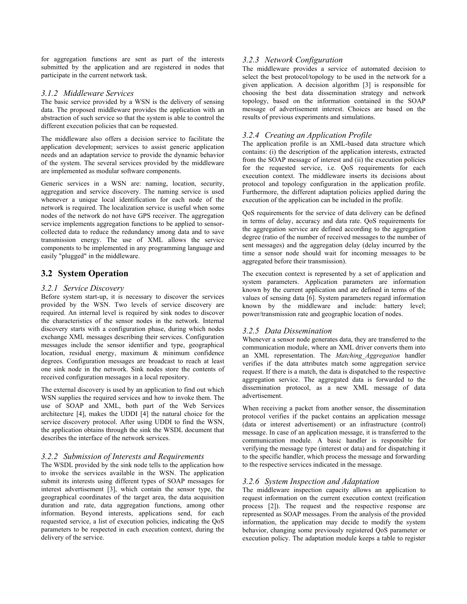for aggregation functions are sent as part of the interests submitted by the application and are registered in nodes that participate in the current network task.

#### *3.1.2 Middleware Services*

The basic service provided by a WSN is the delivery of sensing data. The proposed middleware provides the application with an abstraction of such service so that the system is able to control the different execution policies that can be requested.

The middleware also offers a decision service to facilitate the application development; services to assist generic application needs and an adaptation service to provide the dynamic behavior of the system. The several services provided by the middleware are implemented as modular software components.

Generic services in a WSN are: naming, location, security, aggregation and service discovery. The naming service is used whenever a unique local identification for each node of the network is required. The localization service is useful when some nodes of the network do not have GPS receiver. The aggregation service implements aggregation functions to be applied to sensorcollected data to reduce the redundancy among data and to save transmission energy. The use of XML allows the service components to be implemented in any programming language and easily "plugged" in the middleware.

# **3.2 System Operation**

#### *3.2.1 Service Discovery*

Before system start-up, it is necessary to discover the services provided by the WSN. Two levels of service discovery are required. An internal level is required by sink nodes to discover the characteristics of the sensor nodes in the network. Internal discovery starts with a configuration phase, during which nodes exchange XML messages describing their services. Configuration messages include the sensor identifier and type, geographical location, residual energy, maximum & minimum confidence degrees. Configuration messages are broadcast to reach at least one sink node in the network. Sink nodes store the contents of received configuration messages in a local repository.

The external discovery is used by an application to find out which WSN supplies the required services and how to invoke them. The use of SOAP and XML, both part of the Web Services architecture  $[4]$ , makes the UDDI  $[4]$  the natural choice for the service discovery protocol. After using UDDI to find the WSN, the application obtains through the sink the WSDL document that describes the interface of the network services.

#### *3.2.2 Submission of Interests and Requirements*

The WSDL provided by the sink node tells to the application how to invoke the services available in the WSN. The application submit its interests using different types of SOAP messages for interest advertisement [3], which contain the sensor type, the geographical coordinates of the target area, the data acquisition duration and rate, data aggregation functions, among other information. Beyond interests, applications send, for each requested service, a list of execution policies, indicating the QoS parameters to be respected in each execution context, during the delivery of the service.

#### *3.2.3 Network Configuration*

The middleware provides a service of automated decision to select the best protocol/topology to be used in the network for a given application. A decision algorithm [3] is responsible for choosing the best data dissemination strategy and network topology, based on the information contained in the SOAP message of advertisement interest. Choices are based on the results of previous experiments and simulations.

## *3.2.4 Creating an Application Profile*

The application profile is an XML-based data structure which contains: (i) the description of the application interests, extracted from the SOAP message of interest and (ii) the execution policies for the requested service, i.e. QoS requirements for each execution context. The middleware inserts its decisions about protocol and topology configuration in the application profile. Furthermore, the different adaptation policies applied during the execution of the application can be included in the profile.

QoS requirements for the service of data delivery can be defined in terms of delay, accuracy and data rate. QoS requirements for the aggregation service are defined according to the aggregation degree (ratio of the number of received messages to the number of sent messages) and the aggregation delay (delay incurred by the time a sensor node should wait for incoming messages to be aggregated before their transmission).

The execution context is represented by a set of application and system parameters. Application parameters are information known by the current application and are defined in terms of the values of sensing data [6]. System parameters regard information known by the middleware and include: battery level; power/transmission rate and geographic location of nodes.

#### *3.2.5 Data Dissemination*

Whenever a sensor node generates data, they are transferred to the communication module, where an XML driver converts them into an XML representation. The *Matching\_Aggregation* handler verifies if the data attributes match some aggregation service request. If there is a match, the data is dispatched to the respective aggregation service. The aggregated data is forwarded to the dissemination protocol, as a new XML message of data advertisement.

When receiving a packet from another sensor, the dissemination protocol verifies if the packet contains an application message (data or interest advertisement) or an infrastructure (control) message. In case of an application message, it is transferred to the communication module. A basic handler is responsible for verifying the message type (interest or data) and for dispatching it to the specific handler, which process the message and forwarding to the respective services indicated in the message.

#### *3.2.6 System Inspection and Adaptation*

The middleware inspection capacity allows an application to request information on the current execution context (reification process [2]). The request and the respective response are represented as SOAP messages. From the analysis of the provided information, the application may decide to modify the system behavior, changing some previously registered QoS parameter or execution policy. The adaptation module keeps a table to register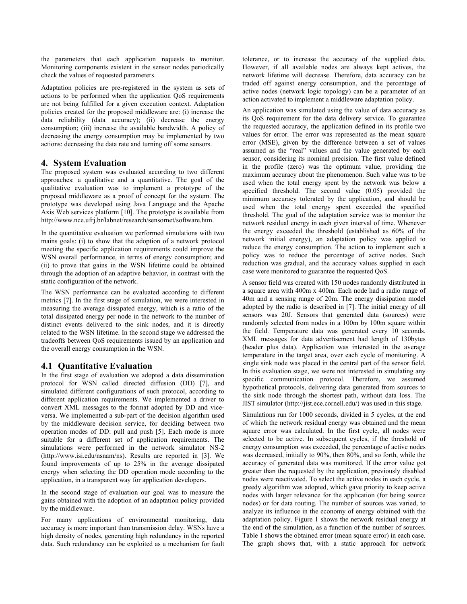the parameters that each application requests to monitor. Monitoring components existent in the sensor nodes periodically check the values of requested parameters.

Adaptation policies are pre-registered in the system as sets of actions to be performed when the application QoS requirements are not being fulfilled for a given execution context. Adaptation policies created for the proposed middleware are: (i) increase the data reliability (data accuracy); (ii) decrease the energy consumption; (iii) increase the available bandwidth. A policy of decreasing the energy consumption may be implemented by two actions: decreasing the data rate and turning off some sensors.

## **4. System Evaluation**

The proposed system was evaluated according to two different approaches: a qualitative and a quantitative. The goal of the qualitative evaluation was to implement a prototype of the proposed middleware as a proof of concept for the system. The prototype was developed using Java Language and the Apache Axis Web services platform [10]. The prototype is available from http://www.nce.ufrj.br/labnet/research/sensornet/software.htm.

In the quantitative evaluation we performed simulations with two mains goals: (i) to show that the adoption of a network protocol meeting the specific application requirements could improve the WSN overall performance, in terms of energy consumption; and (ii) to prove that gains in the WSN lifetime could be obtained through the adoption of an adaptive behavior, in contrast with the static configuration of the network.

The WSN performance can be evaluated according to different metrics [7]. In the first stage of simulation, we were interested in measuring the average dissipated energy, which is a ratio of the total dissipated energy per node in the network to the number of distinct events delivered to the sink nodes, and it is directly related to the WSN lifetime. In the second stage we addressed the tradeoffs between QoS requirements issued by an application and the overall energy consumption in the WSN.

# **4.1 Quantitative Evaluation**

In the first stage of evaluation we adopted a data dissemination protocol for WSN called directed diffusion (DD) [7], and simulated different configurations of such protocol, according to different application requirements. We implemented a driver to convert XML messages to the format adopted by DD and viceversa. We implemented a sub-part of the decision algorithm used by the middleware decision service, for deciding between two operation modes of DD: pull and push [5]. Each mode is more suitable for a different set of application requirements. The simulations were performed in the network simulator NS-2 (http://www.isi.edu/nsnam/ns). Results are reported in [3]. We found improvements of up to 25% in the average dissipated energy when selecting the DD operation mode according to the application, in a transparent way for application developers.

In the second stage of evaluation our goal was to measure the gains obtained with the adoption of an adaptation policy provided by the middleware.

For many applications of environmental monitoring, data accuracy is more important than transmission delay. WSNs have a high density of nodes, generating high redundancy in the reported data. Such redundancy can be exploited as a mechanism for fault tolerance, or to increase the accuracy of the supplied data. However, if all available nodes are always kept actives, the network lifetime will decrease. Therefore, data accuracy can be traded off against energy consumption, and the percentage of active nodes (network logic topology) can be a parameter of an action activated to implement a middleware adaptation policy.

An application was simulated using the value of data accuracy as its QoS requirement for the data delivery service. To guarantee the requested accuracy, the application defined in its profile two values for error. The error was represented as the mean square error (MSE), given by the difference between a set of values assumed as the "real" values and the value generated by each sensor, considering its nominal precision. The first value defined in the profile (zero) was the optimum value, providing the maximum accuracy about the phenomenon. Such value was to be used when the total energy spent by the network was below a specified threshold. The second value (0.05) provided the minimum accuracy tolerated by the application, and should be used when the total energy spent exceeded the specified threshold. The goal of the adaptation service was to monitor the network residual energy in each given interval of time. Whenever the energy exceeded the threshold (established as 60% of the network initial energy), an adaptation policy was applied to reduce the energy consumption. The action to implement such a policy was to reduce the percentage of active nodes. Such reduction was gradual, and the accuracy values supplied in each case were monitored to guarantee the requested QoS.

A sensor field was created with 150 nodes randomly distributed in a square area with 400m x 400m. Each node had a radio range of 40m and a sensing range of 20m. The energy dissipation model adopted by the radio is described in [7]. The initial energy of all sensors was 20J. Sensors that generated data (sources) were randomly selected from nodes in a 100m by 100m square within the field. Temperature data was generated every 10 seconds. XML messages for data advertisement had length of 130bytes (header plus data). Application was interested in the average temperature in the target area, over each cycle of monitoring. A single sink node was placed in the central part of the sensor field. In this evaluation stage, we were not interested in simulating any specific communication protocol. Therefore, we assumed hypothetical protocols, delivering data generated from sources to the sink node through the shortest path, without data loss. The JIST simulator (http://jist.ece.cornell.edu/) was used in this stage.

Simulations run for 1000 seconds, divided in 5 cycles, at the end of which the network residual energy was obtained and the mean square error was calculated. In the first cycle, all nodes were selected to be active. In subsequent cycles, if the threshold of energy consumption was exceeded, the percentage of active nodes was decreased, initially to 90%, then 80%, and so forth, while the accuracy of generated data was monitored. If the error value got greater than the requested by the application, previously disabled nodes were reactivated. To select the active nodes in each cycle, a greedy algorithm was adopted, which gave priority to keep active nodes with larger relevance for the application (for being source nodes) or for data routing. The number of sources was varied, to analyze its influence in the economy of energy obtained with the adaptation policy. Figure 1 shows the network residual energy at the end of the simulation, as a function of the number of sources. Table 1 shows the obtained error (mean square error) in each case. The graph shows that, with a static approach for network